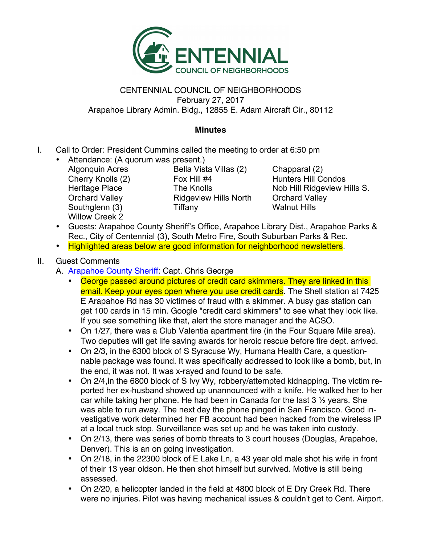

## CENTENNIAL COUNCIL OF NEIGHBORHOODS February 27, 2017 Arapahoe Library Admin. Bldg., 12855 E. Adam Aircraft Cir., 80112

## **Minutes**

- I. Call to Order: President Cummins called the meeting to order at 6:50 pm
	- Attendance: (A quorum was present.) Willow Creek 2

Algonquin Acres Bella Vista Villas (2) Chapparal (2) Cherry Knolls (2) Fox Hill #4 Hunters Hill Condos Orchard Valley Ridgeview Hills North Orchard Valley Southglenn (3) Tiffany Nalnut Hills

Heritage Place The Knolls Nob Hill Ridgeview Hills S.

- Guests: Arapahoe County Sheriff's Office, Arapahoe Library Dist., Arapahoe Parks & Rec., City of Centennial (3), South Metro Fire, South Suburban Parks & Rec.
- Highlighted areas below are good information for neighborhood newsletters.

## II. Guest Comments

- A. Arapahoe County Sheriff: Capt. Chris George
	- George passed around pictures of credit card skimmers. They are linked in this email. Keep your eyes open where you use credit cards. The Shell station at 7425 E Arapahoe Rd has 30 victimes of fraud with a skimmer. A busy gas station can get 100 cards in 15 min. Google "credit card skimmers" to see what they look like. If you see something like that, alert the store manager and the ACSO.
	- On 1/27, there was a Club Valentia apartment fire (in the Four Square Mile area). Two deputies will get life saving awards for heroic rescue before fire dept. arrived.
	- On 2/3, in the 6300 block of S Syracuse Wy, Humana Health Care, a questionnable package was found. It was specifically addressed to look like a bomb, but, in the end, it was not. It was x-rayed and found to be safe.
	- On 2/4,in the 6800 block of S Ivy Wy, robbery/attempted kidnapping. The victim reported her ex-husband showed up unannounced with a knife. He walked her to her car while taking her phone. He had been in Canada for the last  $3\frac{1}{2}$  years. She was able to run away. The next day the phone pinged in San Francisco. Good investigative work determined her FB account had been hacked from the wireless IP at a local truck stop. Surveillance was set up and he was taken into custody.
	- On 2/13, there was series of bomb threats to 3 court houses (Douglas, Arapahoe, Denver). This is an on going investigation.
	- On 2/18, in the 22300 block of E Lake Ln, a 43 year old male shot his wife in front of their 13 year oldson. He then shot himself but survived. Motive is still being assessed.
	- On 2/20, a helicopter landed in the field at 4800 block of E Dry Creek Rd. There were no injuries. Pilot was having mechanical issues & couldn't get to Cent. Airport.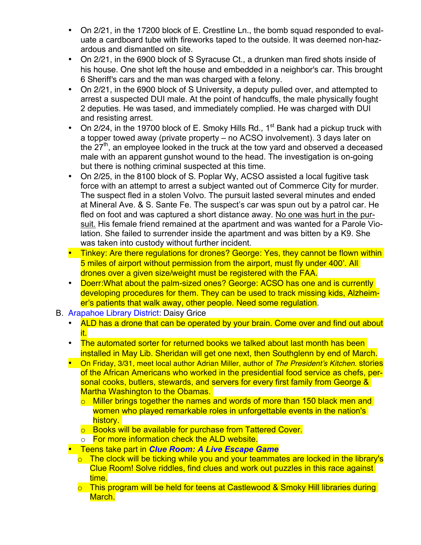- On 2/21, in the 17200 block of E. Crestline Ln., the bomb squad responded to evaluate a cardboard tube with fireworks taped to the outside. It was deemed non-hazardous and dismantled on site.
- On 2/21, in the 6900 block of S Syracuse Ct., a drunken man fired shots inside of his house. One shot left the house and embedded in a neighbor's car. This brought 6 Sheriff's cars and the man was charged with a felony.
- On 2/21, in the 6900 block of S University, a deputy pulled over, and attempted to arrest a suspected DUI male. At the point of handcuffs, the male physically fought 2 deputies. He was tased, and immediately complied. He was charged with DUI and resisting arrest.
- On 2/24, in the 19700 block of E. Smoky Hills Rd., 1<sup>st</sup> Bank had a pickup truck with a topper towed away (private property – no ACSO involvement). 3 days later on the  $27<sup>th</sup>$ , an employee looked in the truck at the tow yard and observed a deceased male with an apparent gunshot wound to the head. The investigation is on-going but there is nothing criminal suspected at this time.
- On 2/25, in the 8100 block of S. Poplar Wy, ACSO assisted a local fugitive task force with an attempt to arrest a subject wanted out of Commerce City for murder. The suspect fled in a stolen Volvo. The pursuit lasted several minutes and ended at Mineral Ave. & S. Sante Fe. The suspect's car was spun out by a patrol car. He fled on foot and was captured a short distance away. No one was hurt in the pursuit. His female friend remained at the apartment and was wanted for a Parole Violation. She failed to surrender inside the apartment and was bitten by a K9. She was taken into custody without further incident.
- Tinkey: Are there regulations for drones? George: Yes, they cannot be flown within 5 miles of airport without permission from the airport, must fly under 400'. All drones over a given size/weight must be registered with the FAA.
- Doerr: What about the palm-sized ones? George: ACSO has one and is currently developing procedures for them. They can be used to track missing kids, Alzheimer's patients that walk away, other people. Need some regulation.
- B. Arapahoe Library District: Daisy Grice
	- ALD has a drone that can be operated by your brain. Come over and find out about it.
	- The automated sorter for returned books we talked about last month has been installed in May Lib. Sheridan will get one next, then Southglenn by end of March.
	- On Friday, 3/31, meet local author Adrian Miller, author of *The President's Kitchen*. stories of the African Americans who worked in the presidential food service as chefs, personal cooks, butlers, stewards, and servers for every first family from George & Martha Washington to the Obamas.
		- o Miller brings together the names and words of more than 150 black men and women who played remarkable roles in unforgettable events in the nation's history.
		- o Books will be available for purchase from Tattered Cover.
		- o For more information check the ALD website.
	- Teens take part in *Clue Room: A Live Escape Game*
		- $\circ$  The clock will be ticking while you and your teammates are locked in the library's Clue Room! Solve riddles, find clues and work out puzzles in this race against time.
		- o This program will be held for teens at Castlewood & Smoky Hill libraries during March.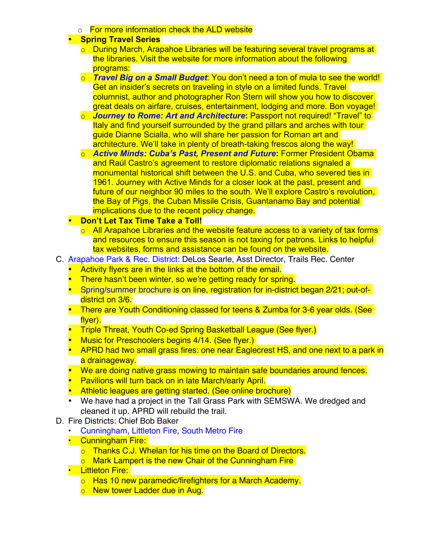o For more information check the ALD website

## • **Spring Travel Series**

- o During March, Arapahoe Libraries will be featuring several travel programs at the libraries. Visit the website for more information about the following programs:
- o *Travel Big on a Small Budget*: You don't need a ton of mula to see the world! Get an insider's secrets on traveling in style on a limited funds. Travel columnist, author and photographer Ron Stern will show you how to discover great deals on airfare, cruises, entertainment, lodging and more. Bon voyage!
- o *Journey to Rome: Art and Architecture***:** Passport not required! "Travel" to Italy and find yourself surrounded by the grand pillars and arches with tour guide Dianne Scialla, who will share her passion for Roman art and architecture. We'll take in plenty of breath-taking frescos along the way!
- o *Active Minds: Cuba's Past, Present and Future***:** Former President Obama and Raúl Castro's agreement to restore diplomatic relations signaled a monumental historical shift between the U.S. and Cuba, who severed ties in 1961. Journey with Active Minds for a closer look at the past, present and future of our neighbor 90 miles to the south. We'll explore Castro's revolution, the Bay of Pigs, the Cuban Missile Crisis, Guantanamo Bay and potential implications due to the recent policy change.
- **Don't Let Tax Time Take a Toll!**
	- $\circ$  All Arapahoe Libraries and the website feature access to a variety of tax forms and resources to ensure this season is not taxing for patrons. Links to helpful tax websites, forms and assistance can be found on the website.
- C. Arapahoe Park & Rec. District: DeLos Searle, Asst Director, Trails Rec. Center
	- Activity flyers are in the links at the bottom of the email.
	- There hasn't been winter, so we're getting ready for spring.
	- Spring/summer brochure is on line, registration for in-district began 2/21; out-ofdistrict on 3/6.
	- There are Youth Conditioning classed for teens & Zumba for 3-6 year olds. (See flyer).
	- Triple Threat, Youth Co-ed Spring Basketball League (See flyer.)
	- **Music for Preschoolers begins 4/14. (See flyer.)**
	- APRD had two small grass fires: one near Eaglecrest HS, and one next to a park in a drainageway.
	- We are doing native grass mowing to maintain safe boundaries around fences.
	- Pavilions will turn back on in late March/early April.
	- Athletic leagues are getting started. (See online brochure)
	- We have had a project in the Tall Grass Park with SEMSWA. We dredged and cleaned it up. APRD will rebuild the trail.
- D. Fire Districts: Chief Bob Baker
	- Cunningham, Littleton Fire, South Metro Fire
	- Cunningham Fire:
		- o Thanks C.J. Whelan for his time on the Board of Directors.
		- o Mark Lampert is the new Chair of the Cunningham Fire
	- Littleton Fire:
		- o Has 10 new paramedic/firefighters for a March Academy.
		- o New tower Ladder due in Aug.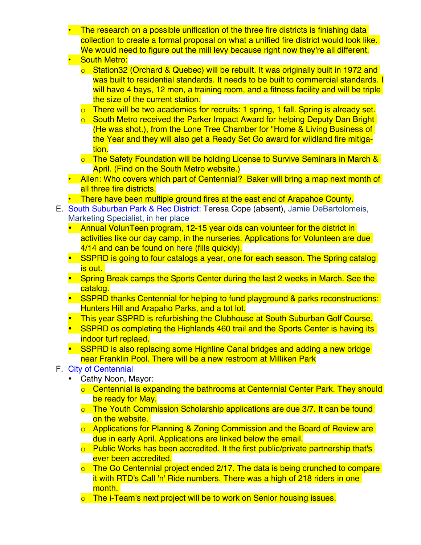- **The research on a possible unification of the three fire districts is finishing data** collection to create a formal proposal on what a unified fire district would look like. We would need to figure out the mill levy because right now they're all different.
- South Metro:
	- o Station32 (Orchard & Quebec) will be rebuilt. It was originally built in 1972 and was built to residential standards. It needs to be built to commercial standards. I will have 4 bays, 12 men, a training room, and a fitness facility and will be triple the size of the current station.
	- o There will be two academies for recruits: 1 spring, 1 fall. Spring is already set.
	- o South Metro received the Parker Impact Award for helping Deputy Dan Bright (He was shot.), from the Lone Tree Chamber for "Home & Living Business of the Year and they will also get a Ready Set Go award for wildland fire mitigation.
	- o The Safety Foundation will be holding License to Survive Seminars in March & April. (Find on the South Metro website.)
- Allen: Who covers which part of Centennial? Baker will bring a map next month of all three fire districts.
- There have been multiple ground fires at the east end of Arapahoe County.
- E. South Suburban Park & Rec District: Teresa Cope (absent), Jamie DeBartolomeis, Marketing Specialist, in her place
	- Annual VolunTeen program, 12-15 year olds can volunteer for the district in activities like our day camp, in the nurseries. Applications for Volunteen are due 4/14 and can be found on here (fills quickly).
	- SSPRD is going to four catalogs a year, one for each season. The Spring catalog is out.
	- Spring Break camps the Sports Center during the last 2 weeks in March. See the catalog.
	- SSPRD thanks Centennial for helping to fund playground & parks reconstructions: Hunters Hill and Arapaho Parks, and a tot lot.
	- This year SSPRD is refurbishing the Clubhouse at South Suburban Golf Course.
	- SSPRD os completing the Highlands 460 trail and the Sports Center is having its indoor turf replaed.
	- SSPRD is also replacing some Highline Canal bridges and adding a new bridge near Franklin Pool. There will be a new restroom at Milliken Park
- F. City of Centennial
	- Cathy Noon, Mayor:
		- o Centennial is expanding the bathrooms at Centennial Center Park. They should be ready for May.
		- o The Youth Commission Scholarship applications are due 3/7. It can be found on the website.
		- o Applications for Planning & Zoning Commission and the Board of Review are due in early April. Applications are linked below the email.
		- $\circ$  Public Works has been accredited. It the first public/private partnership that's ever been accredited.
		- $\circ$  The Go Centennial project ended 2/17. The data is being crunched to compare it with RTD's Call 'n' Ride numbers. There was a high of 218 riders in one month.
		- o The i-Team's next project will be to work on Senior housing issues.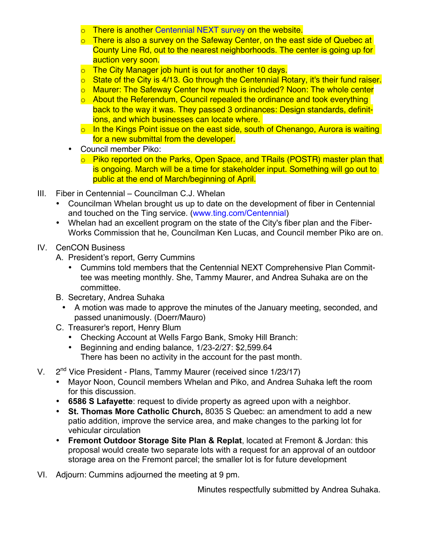- o There is another Centennial NEXT survey on the website.
- o There is also a survey on the Safeway Center, on the east side of Quebec at County Line Rd, out to the nearest neighborhoods. The center is going up for auction very soon.
- o The City Manager job hunt is out for another 10 days.
- o State of the City is 4/13. Go through the Centennial Rotary, it's their fund raiser.
- o Maurer: The Safeway Center how much is included? Noon: The whole center
- o About the Referendum, Council repealed the ordinance and took everything back to the way it was. They passed 3 ordinances: Design standards, definitions, and which businesses can locate where.
- $\circ$  In the Kings Point issue on the east side, south of Chenango, Aurora is waiting for a new submittal from the developer.
- Council member Piko:
	- o Piko reported on the Parks, Open Space, and TRails (POSTR) master plan that is ongoing. March will be a time for stakeholder input. Something will go out to public at the end of March/beginning of April.
- III. Fiber in Centennial Councilman C.J. Whelan
	- Councilman Whelan brought us up to date on the development of fiber in Centennial and touched on the Ting service. (www.ting.com/Centennial)
	- Whelan had an excellent program on the state of the City's fiber plan and the Fiber-Works Commission that he, Councilman Ken Lucas, and Council member Piko are on.
- IV. CenCON Business
	- A. President's report, Gerry Cummins
		- Cummins told members that the Centennial NEXT Comprehensive Plan Committee was meeting monthly. She, Tammy Maurer, and Andrea Suhaka are on the committee.
	- B. Secretary, Andrea Suhaka
		- A motion was made to approve the minutes of the January meeting, seconded, and passed unanimously. (Doerr/Mauro)
	- C. Treasurer's report, Henry Blum
		- Checking Account at Wells Fargo Bank, Smoky Hill Branch:
		- Beginning and ending balance, 1/23-2/27: \$2,599.64 There has been no activity in the account for the past month.
- V.  $2^{nd}$  Vice President Plans, Tammy Maurer (received since 1/23/17)
	- Mayor Noon, Council members Whelan and Piko, and Andrea Suhaka left the room for this discussion.
	- **6586 S Lafayette**: request to divide property as agreed upon with a neighbor.
	- **St. Thomas More Catholic Church,** 8035 S Quebec: an amendment to add a new patio addition, improve the service area, and make changes to the parking lot for vehicular circulation
	- **Fremont Outdoor Storage Site Plan & Replat**, located at Fremont & Jordan: this proposal would create two separate lots with a request for an approval of an outdoor storage area on the Fremont parcel; the smaller lot is for future development
- VI. Adjourn: Cummins adjourned the meeting at 9 pm.

Minutes respectfully submitted by Andrea Suhaka.